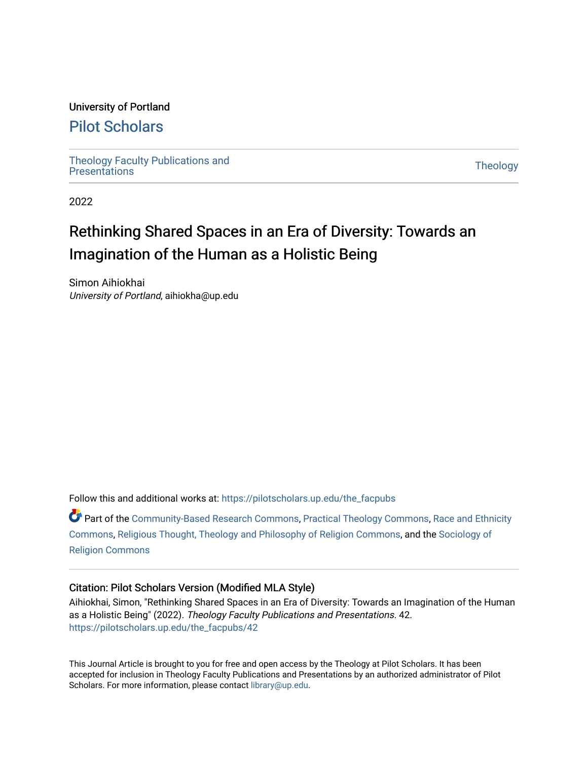### University of Portland

### [Pilot Scholars](https://pilotscholars.up.edu/)

[Theology Faculty Publications and](https://pilotscholars.up.edu/the_facpubs) Theology Faculty Publications and<br>[Presentations](https://pilotscholars.up.edu/the_facpubs) Theology

2022

# Rethinking Shared Spaces in an Era of Diversity: Towards an Imagination of the Human as a Holistic Being

Simon Aihiokhai University of Portland, aihiokha@up.edu

Follow this and additional works at: [https://pilotscholars.up.edu/the\\_facpubs](https://pilotscholars.up.edu/the_facpubs?utm_source=pilotscholars.up.edu%2Fthe_facpubs%2F42&utm_medium=PDF&utm_campaign=PDFCoverPages)

Part of the [Community-Based Research Commons](https://network.bepress.com/hgg/discipline/1047?utm_source=pilotscholars.up.edu%2Fthe_facpubs%2F42&utm_medium=PDF&utm_campaign=PDFCoverPages), [Practical Theology Commons,](https://network.bepress.com/hgg/discipline/1186?utm_source=pilotscholars.up.edu%2Fthe_facpubs%2F42&utm_medium=PDF&utm_campaign=PDFCoverPages) [Race and Ethnicity](https://network.bepress.com/hgg/discipline/426?utm_source=pilotscholars.up.edu%2Fthe_facpubs%2F42&utm_medium=PDF&utm_campaign=PDFCoverPages)  [Commons](https://network.bepress.com/hgg/discipline/426?utm_source=pilotscholars.up.edu%2Fthe_facpubs%2F42&utm_medium=PDF&utm_campaign=PDFCoverPages), [Religious Thought, Theology and Philosophy of Religion Commons](https://network.bepress.com/hgg/discipline/544?utm_source=pilotscholars.up.edu%2Fthe_facpubs%2F42&utm_medium=PDF&utm_campaign=PDFCoverPages), and the [Sociology of](https://network.bepress.com/hgg/discipline/1365?utm_source=pilotscholars.up.edu%2Fthe_facpubs%2F42&utm_medium=PDF&utm_campaign=PDFCoverPages) [Religion Commons](https://network.bepress.com/hgg/discipline/1365?utm_source=pilotscholars.up.edu%2Fthe_facpubs%2F42&utm_medium=PDF&utm_campaign=PDFCoverPages)

### Citation: Pilot Scholars Version (Modified MLA Style)

Aihiokhai, Simon, "Rethinking Shared Spaces in an Era of Diversity: Towards an Imagination of the Human as a Holistic Being" (2022). Theology Faculty Publications and Presentations. 42. [https://pilotscholars.up.edu/the\\_facpubs/42](https://pilotscholars.up.edu/the_facpubs/42?utm_source=pilotscholars.up.edu%2Fthe_facpubs%2F42&utm_medium=PDF&utm_campaign=PDFCoverPages) 

This Journal Article is brought to you for free and open access by the Theology at Pilot Scholars. It has been accepted for inclusion in Theology Faculty Publications and Presentations by an authorized administrator of Pilot Scholars. For more information, please contact [library@up.edu](mailto:library@up.edu).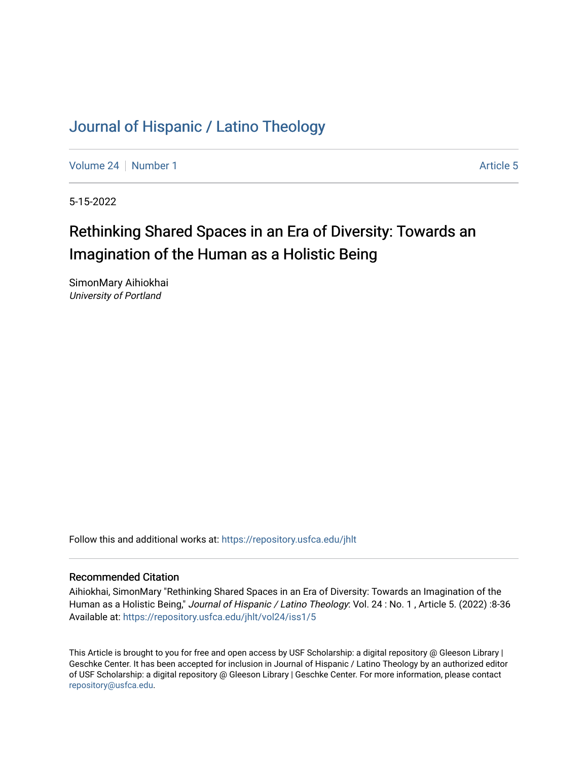### [Journal of Hispanic / Latino Theology](https://repository.usfca.edu/jhlt)

[Volume 24](https://repository.usfca.edu/jhlt/vol24) | [Number 1](https://repository.usfca.edu/jhlt/vol24/iss1) Article 5

5-15-2022

## Rethinking Shared Spaces in an Era of Diversity: Towards an Imagination of the Human as a Holistic Being

SimonMary Aihiokhai University of Portland

Follow this and additional works at: [https://repository.usfca.edu/jhlt](https://repository.usfca.edu/jhlt?utm_source=repository.usfca.edu%2Fjhlt%2Fvol24%2Fiss1%2F5&utm_medium=PDF&utm_campaign=PDFCoverPages)

### Recommended Citation

Aihiokhai, SimonMary "Rethinking Shared Spaces in an Era of Diversity: Towards an Imagination of the Human as a Holistic Being," Journal of Hispanic / Latino Theology: Vol. 24 : No. 1 , Article 5. (2022) :8-36 Available at: [https://repository.usfca.edu/jhlt/vol24/iss1/5](https://repository.usfca.edu/jhlt/vol24/iss1/5?utm_source=repository.usfca.edu%2Fjhlt%2Fvol24%2Fiss1%2F5&utm_medium=PDF&utm_campaign=PDFCoverPages)

This Article is brought to you for free and open access by USF Scholarship: a digital repository @ Gleeson Library | Geschke Center. It has been accepted for inclusion in Journal of Hispanic / Latino Theology by an authorized editor of USF Scholarship: a digital repository @ Gleeson Library | Geschke Center. For more information, please contact [repository@usfca.edu.](mailto:repository@usfca.edu)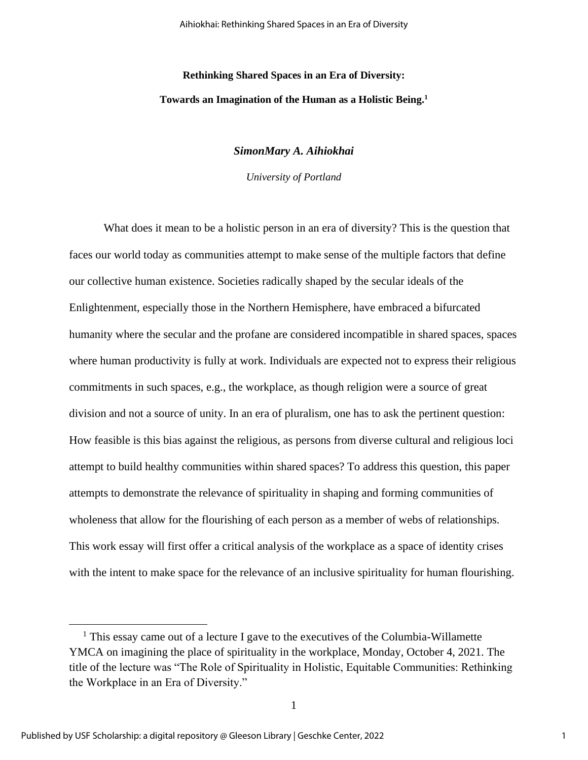## **Rethinking Shared Spaces in an Era of Diversity: Towards an Imagination of the Human as a Holistic Being.<sup>1</sup>**

#### *SimonMary A. Aihiokhai*

*University of Portland*

What does it mean to be a holistic person in an era of diversity? This is the question that faces our world today as communities attempt to make sense of the multiple factors that define our collective human existence. Societies radically shaped by the secular ideals of the Enlightenment, especially those in the Northern Hemisphere, have embraced a bifurcated humanity where the secular and the profane are considered incompatible in shared spaces, spaces where human productivity is fully at work. Individuals are expected not to express their religious commitments in such spaces, e.g., the workplace, as though religion were a source of great division and not a source of unity. In an era of pluralism, one has to ask the pertinent question: How feasible is this bias against the religious, as persons from diverse cultural and religious loci attempt to build healthy communities within shared spaces? To address this question, this paper attempts to demonstrate the relevance of spirituality in shaping and forming communities of wholeness that allow for the flourishing of each person as a member of webs of relationships. This work essay will first offer a critical analysis of the workplace as a space of identity crises with the intent to make space for the relevance of an inclusive spirituality for human flourishing.

<sup>&</sup>lt;sup>1</sup> This essay came out of a lecture I gave to the executives of the Columbia-Willamette YMCA on imagining the place of spirituality in the workplace, Monday, October 4, 2021. The title of the lecture was "The Role of Spirituality in Holistic, Equitable Communities: Rethinking the Workplace in an Era of Diversity."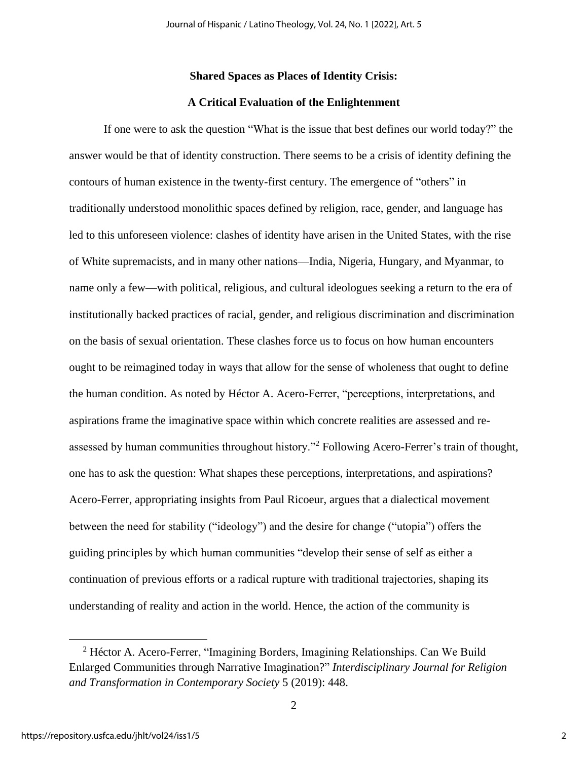### **Shared Spaces as Places of Identity Crisis:**

### **A Critical Evaluation of the Enlightenment**

If one were to ask the question "What is the issue that best defines our world today?" the answer would be that of identity construction. There seems to be a crisis of identity defining the contours of human existence in the twenty-first century. The emergence of "others" in traditionally understood monolithic spaces defined by religion, race, gender, and language has led to this unforeseen violence: clashes of identity have arisen in the United States, with the rise of White supremacists, and in many other nations—India, Nigeria, Hungary, and Myanmar, to name only a few—with political, religious, and cultural ideologues seeking a return to the era of institutionally backed practices of racial, gender, and religious discrimination and discrimination on the basis of sexual orientation. These clashes force us to focus on how human encounters ought to be reimagined today in ways that allow for the sense of wholeness that ought to define the human condition. As noted by Héctor A. Acero-Ferrer, "perceptions, interpretations, and aspirations frame the imaginative space within which concrete realities are assessed and reassessed by human communities throughout history."<sup>2</sup> Following Acero-Ferrer's train of thought, one has to ask the question: What shapes these perceptions, interpretations, and aspirations? Acero-Ferrer, appropriating insights from Paul Ricoeur, argues that a dialectical movement between the need for stability ("ideology") and the desire for change ("utopia") offers the guiding principles by which human communities "develop their sense of self as either a continuation of previous efforts or a radical rupture with traditional trajectories, shaping its understanding of reality and action in the world. Hence, the action of the community is

2

<sup>2</sup> Héctor A. Acero-Ferrer, "Imagining Borders, Imagining Relationships. Can We Build Enlarged Communities through Narrative Imagination?" *Interdisciplinary Journal for Religion and Transformation in Contemporary Society* 5 (2019): 448.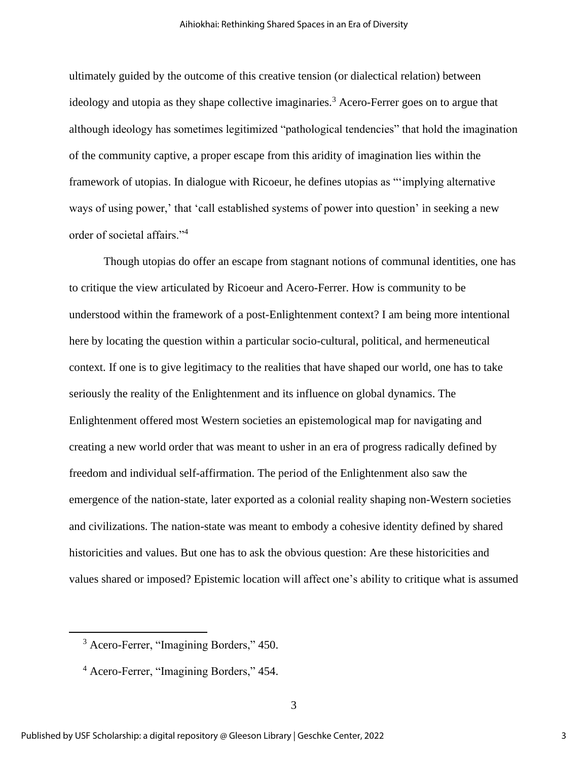ultimately guided by the outcome of this creative tension (or dialectical relation) between ideology and utopia as they shape collective imaginaries.<sup>3</sup> Acero-Ferrer goes on to argue that although ideology has sometimes legitimized "pathological tendencies" that hold the imagination of the community captive, a proper escape from this aridity of imagination lies within the framework of utopias. In dialogue with Ricoeur, he defines utopias as "'implying alternative ways of using power,' that 'call established systems of power into question' in seeking a new order of societal affairs."<sup>4</sup>

Though utopias do offer an escape from stagnant notions of communal identities, one has to critique the view articulated by Ricoeur and Acero-Ferrer. How is community to be understood within the framework of a post-Enlightenment context? I am being more intentional here by locating the question within a particular socio-cultural, political, and hermeneutical context. If one is to give legitimacy to the realities that have shaped our world, one has to take seriously the reality of the Enlightenment and its influence on global dynamics. The Enlightenment offered most Western societies an epistemological map for navigating and creating a new world order that was meant to usher in an era of progress radically defined by freedom and individual self-affirmation. The period of the Enlightenment also saw the emergence of the nation-state, later exported as a colonial reality shaping non-Western societies and civilizations. The nation-state was meant to embody a cohesive identity defined by shared historicities and values. But one has to ask the obvious question: Are these historicities and values shared or imposed? Epistemic location will affect one's ability to critique what is assumed

<sup>3</sup> Acero-Ferrer, "Imagining Borders," 450.

<sup>4</sup> Acero-Ferrer, "Imagining Borders," 454.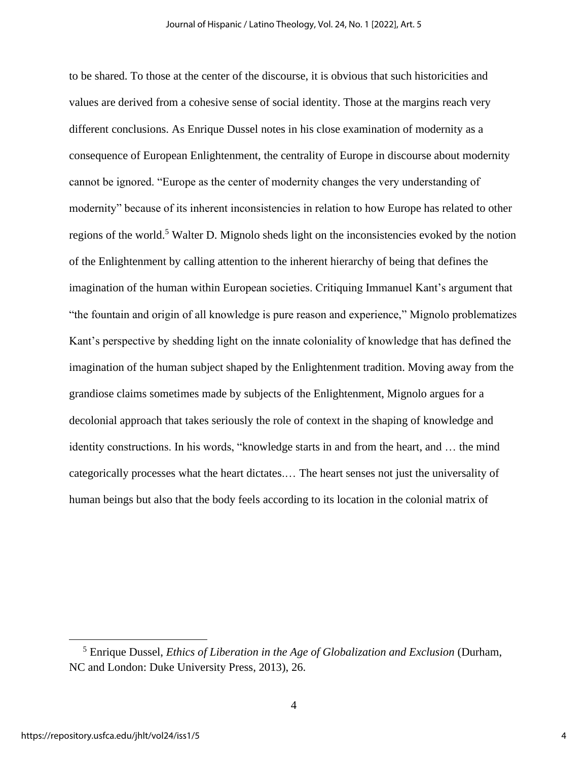to be shared. To those at the center of the discourse, it is obvious that such historicities and values are derived from a cohesive sense of social identity. Those at the margins reach very different conclusions. As Enrique Dussel notes in his close examination of modernity as a consequence of European Enlightenment, the centrality of Europe in discourse about modernity cannot be ignored. "Europe as the center of modernity changes the very understanding of modernity" because of its inherent inconsistencies in relation to how Europe has related to other regions of the world.<sup>5</sup> Walter D. Mignolo sheds light on the inconsistencies evoked by the notion of the Enlightenment by calling attention to the inherent hierarchy of being that defines the imagination of the human within European societies. Critiquing Immanuel Kant's argument that "the fountain and origin of all knowledge is pure reason and experience," Mignolo problematizes Kant's perspective by shedding light on the innate coloniality of knowledge that has defined the imagination of the human subject shaped by the Enlightenment tradition. Moving away from the grandiose claims sometimes made by subjects of the Enlightenment, Mignolo argues for a decolonial approach that takes seriously the role of context in the shaping of knowledge and identity constructions. In his words, "knowledge starts in and from the heart, and … the mind categorically processes what the heart dictates.… The heart senses not just the universality of human beings but also that the body feels according to its location in the colonial matrix of

4

<sup>5</sup> Enrique Dussel, *Ethics of Liberation in the Age of Globalization and Exclusion* (Durham, NC and London: Duke University Press, 2013), 26.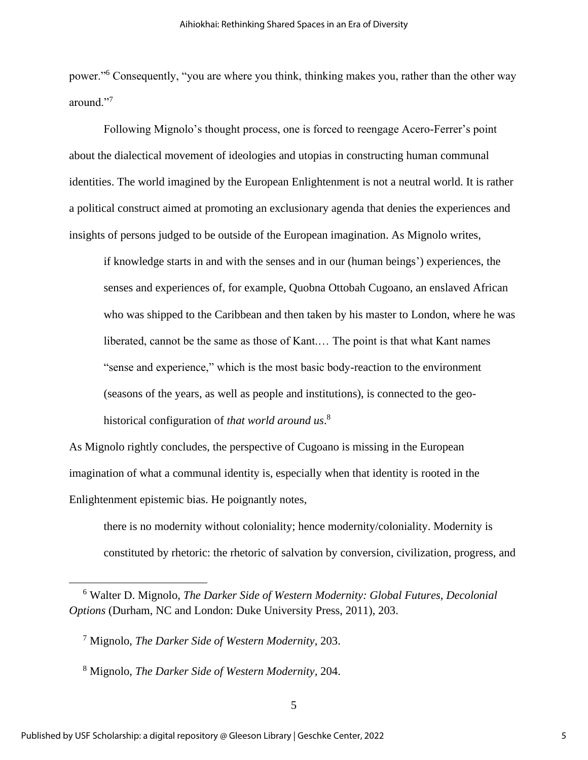power."<sup>6</sup> Consequently, "you are where you think, thinking makes you, rather than the other way around."<sup>7</sup>

Following Mignolo's thought process, one is forced to reengage Acero-Ferrer's point about the dialectical movement of ideologies and utopias in constructing human communal identities. The world imagined by the European Enlightenment is not a neutral world. It is rather a political construct aimed at promoting an exclusionary agenda that denies the experiences and insights of persons judged to be outside of the European imagination. As Mignolo writes,

if knowledge starts in and with the senses and in our (human beings') experiences, the senses and experiences of, for example, Quobna Ottobah Cugoano, an enslaved African who was shipped to the Caribbean and then taken by his master to London, where he was liberated, cannot be the same as those of Kant.… The point is that what Kant names "sense and experience," which is the most basic body-reaction to the environment (seasons of the years, as well as people and institutions), is connected to the geohistorical configuration of *that world around us*. 8

As Mignolo rightly concludes, the perspective of Cugoano is missing in the European imagination of what a communal identity is, especially when that identity is rooted in the Enlightenment epistemic bias. He poignantly notes,

there is no modernity without coloniality; hence modernity/coloniality. Modernity is constituted by rhetoric: the rhetoric of salvation by conversion, civilization, progress, and

<sup>6</sup> Walter D. Mignolo, *The Darker Side of Western Modernity: Global Futures, Decolonial Options* (Durham, NC and London: Duke University Press, 2011), 203.

<sup>7</sup> Mignolo, *The Darker Side of Western Modernity*, 203.

<sup>8</sup> Mignolo, *The Darker Side of Western Modernity*, 204.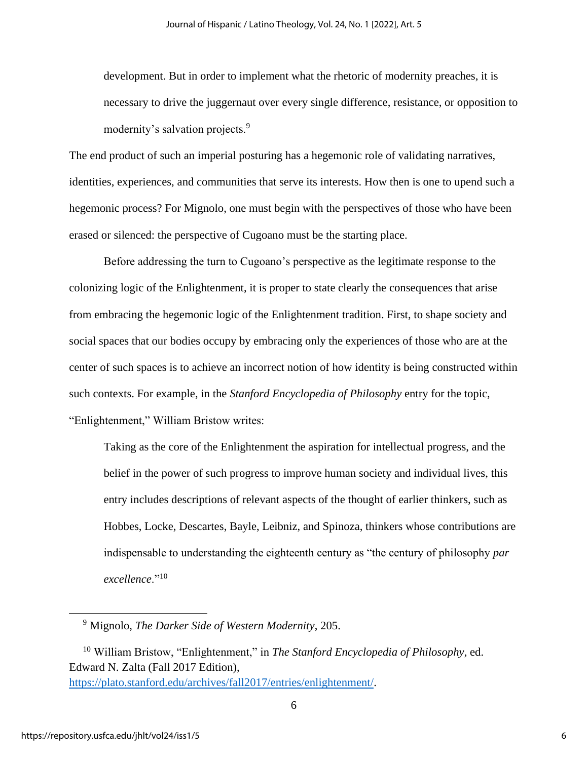development. But in order to implement what the rhetoric of modernity preaches, it is necessary to drive the juggernaut over every single difference, resistance, or opposition to modernity's salvation projects.<sup>9</sup>

The end product of such an imperial posturing has a hegemonic role of validating narratives, identities, experiences, and communities that serve its interests. How then is one to upend such a hegemonic process? For Mignolo, one must begin with the perspectives of those who have been erased or silenced: the perspective of Cugoano must be the starting place.

Before addressing the turn to Cugoano's perspective as the legitimate response to the colonizing logic of the Enlightenment, it is proper to state clearly the consequences that arise from embracing the hegemonic logic of the Enlightenment tradition. First, to shape society and social spaces that our bodies occupy by embracing only the experiences of those who are at the center of such spaces is to achieve an incorrect notion of how identity is being constructed within such contexts. For example, in the *Stanford Encyclopedia of Philosophy* entry for the topic, "Enlightenment," William Bristow writes:

Taking as the core of the Enlightenment the aspiration for intellectual progress, and the belief in the power of such progress to improve human society and individual lives, this entry includes descriptions of relevant aspects of the thought of earlier thinkers, such as Hobbes, Locke, Descartes, Bayle, Leibniz, and Spinoza, thinkers whose contributions are indispensable to understanding the eighteenth century as "the century of philosophy *par excellence*."<sup>10</sup>

<sup>9</sup> Mignolo, *The Darker Side of Western Modernity*, 205.

<sup>10</sup> William Bristow, "Enlightenment," in *The Stanford Encyclopedia of Philosophy*, ed. Edward N. Zalta (Fall 2017 Edition), [https://plato.stanford.edu/archives/fall2017/entries/enlightenment/.](https://plato.stanford.edu/archives/fall2017/entries/enlightenment/)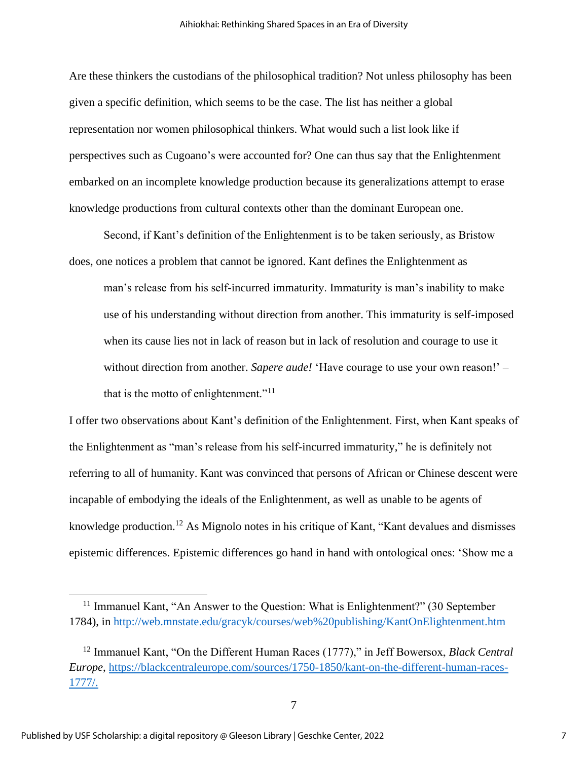Are these thinkers the custodians of the philosophical tradition? Not unless philosophy has been given a specific definition, which seems to be the case. The list has neither a global representation nor women philosophical thinkers. What would such a list look like if perspectives such as Cugoano's were accounted for? One can thus say that the Enlightenment embarked on an incomplete knowledge production because its generalizations attempt to erase knowledge productions from cultural contexts other than the dominant European one.

Second, if Kant's definition of the Enlightenment is to be taken seriously, as Bristow does, one notices a problem that cannot be ignored. Kant defines the Enlightenment as man's release from his self-incurred immaturity. Immaturity is man's inability to make use of his understanding without direction from another. This immaturity is self-imposed when its cause lies not in lack of reason but in lack of resolution and courage to use it without direction from another. *Sapere aude!* 'Have courage to use your own reason!' – that is the motto of enlightenment." $11$ 

I offer two observations about Kant's definition of the Enlightenment. First, when Kant speaks of the Enlightenment as "man's release from his self-incurred immaturity," he is definitely not referring to all of humanity. Kant was convinced that persons of African or Chinese descent were incapable of embodying the ideals of the Enlightenment, as well as unable to be agents of knowledge production.<sup>12</sup> As Mignolo notes in his critique of Kant, "Kant devalues and dismisses epistemic differences. Epistemic differences go hand in hand with ontological ones: 'Show me a

<sup>&</sup>lt;sup>11</sup> Immanuel Kant, "An Answer to the Question: What is Enlightenment?" (30 September 1784), in<http://web.mnstate.edu/gracyk/courses/web%20publishing/KantOnElightenment.htm>

<sup>&</sup>lt;sup>12</sup> Immanuel Kant, "On the Different Human Races (1777)," in Jeff Bowersox, *Black Central Europe*, [https://blackcentraleurope.com/sources/1750-1850/kant-on-the-different-human-races-](https://blackcentraleurope.com/sources/1750-1850/kant-on-the-different-human-races-1777/)[1777/.](https://blackcentraleurope.com/sources/1750-1850/kant-on-the-different-human-races-1777/)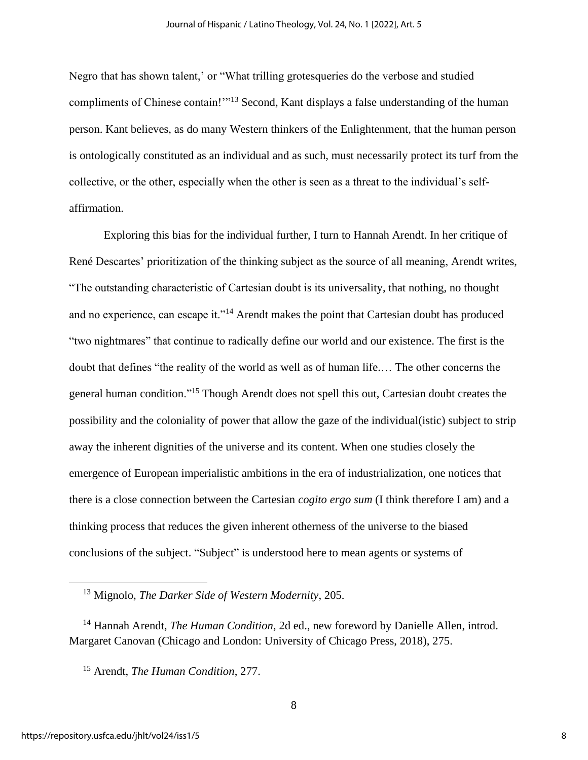Negro that has shown talent,' or "What trilling grotesqueries do the verbose and studied compliments of Chinese contain!"<sup>13</sup> Second, Kant displays a false understanding of the human person. Kant believes, as do many Western thinkers of the Enlightenment, that the human person is ontologically constituted as an individual and as such, must necessarily protect its turf from the collective, or the other, especially when the other is seen as a threat to the individual's selfaffirmation.

Exploring this bias for the individual further, I turn to Hannah Arendt. In her critique of René Descartes' prioritization of the thinking subject as the source of all meaning, Arendt writes, "The outstanding characteristic of Cartesian doubt is its universality, that nothing, no thought and no experience, can escape it."<sup>14</sup> Arendt makes the point that Cartesian doubt has produced "two nightmares" that continue to radically define our world and our existence. The first is the doubt that defines "the reality of the world as well as of human life.… The other concerns the general human condition."<sup>15</sup> Though Arendt does not spell this out, Cartesian doubt creates the possibility and the coloniality of power that allow the gaze of the individual(istic) subject to strip away the inherent dignities of the universe and its content. When one studies closely the emergence of European imperialistic ambitions in the era of industrialization, one notices that there is a close connection between the Cartesian *cogito ergo sum* (I think therefore I am) and a thinking process that reduces the given inherent otherness of the universe to the biased conclusions of the subject. "Subject" is understood here to mean agents or systems of

8

<sup>13</sup> Mignolo, *The Darker Side of Western Modernity*, 205.

<sup>14</sup> Hannah Arendt, *The Human Condition*, 2d ed., new foreword by Danielle Allen, introd. Margaret Canovan (Chicago and London: University of Chicago Press, 2018), 275.

<sup>15</sup> Arendt, *The Human Condition*, 277.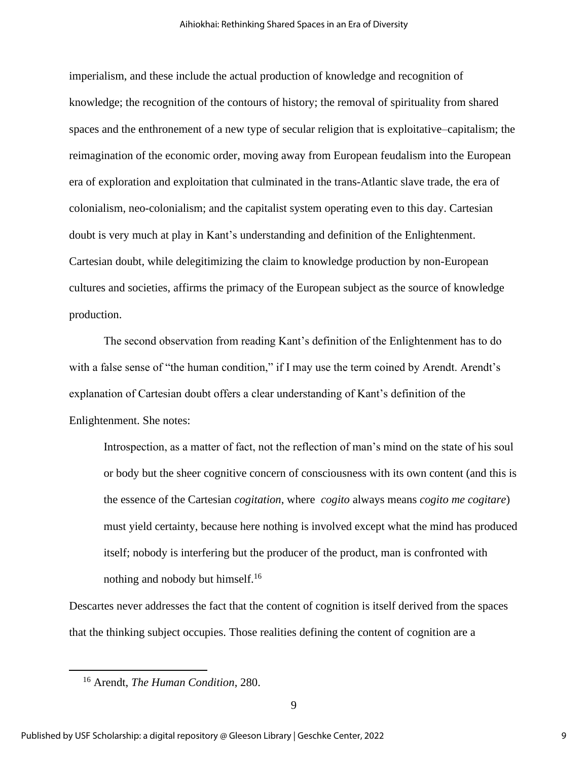imperialism, and these include the actual production of knowledge and recognition of knowledge; the recognition of the contours of history; the removal of spirituality from shared spaces and the enthronement of a new type of secular religion that is exploitative–capitalism; the reimagination of the economic order, moving away from European feudalism into the European era of exploration and exploitation that culminated in the trans-Atlantic slave trade, the era of colonialism, neo-colonialism; and the capitalist system operating even to this day. Cartesian doubt is very much at play in Kant's understanding and definition of the Enlightenment. Cartesian doubt, while delegitimizing the claim to knowledge production by non-European cultures and societies, affirms the primacy of the European subject as the source of knowledge production.

The second observation from reading Kant's definition of the Enlightenment has to do with a false sense of "the human condition," if I may use the term coined by Arendt. Arendt's explanation of Cartesian doubt offers a clear understanding of Kant's definition of the Enlightenment. She notes:

Introspection, as a matter of fact, not the reflection of man's mind on the state of his soul or body but the sheer cognitive concern of consciousness with its own content (and this is the essence of the Cartesian *cogitation*, where *cogito* always means *cogito me cogitare*) must yield certainty, because here nothing is involved except what the mind has produced itself; nobody is interfering but the producer of the product, man is confronted with nothing and nobody but himself.<sup>16</sup>

Descartes never addresses the fact that the content of cognition is itself derived from the spaces that the thinking subject occupies. Those realities defining the content of cognition are a

<sup>16</sup> Arendt, *The Human Condition*, 280.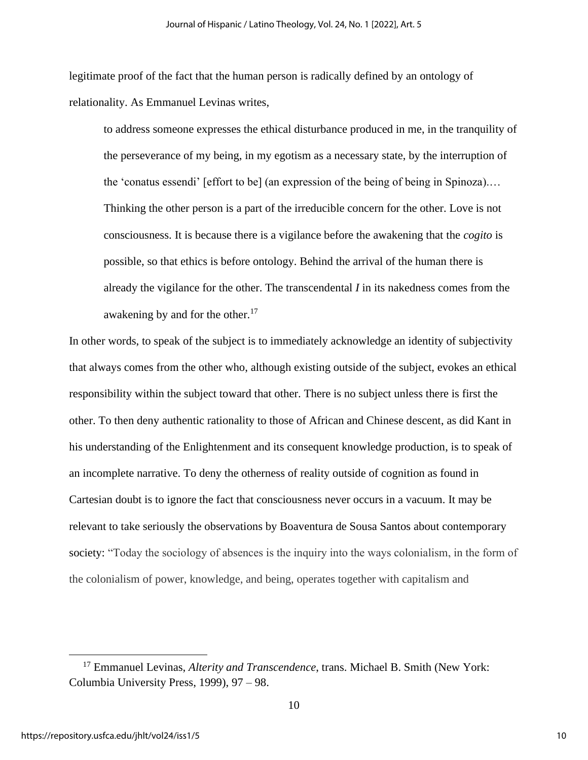legitimate proof of the fact that the human person is radically defined by an ontology of relationality. As Emmanuel Levinas writes,

to address someone expresses the ethical disturbance produced in me, in the tranquility of the perseverance of my being, in my egotism as a necessary state, by the interruption of the 'conatus essendi' [effort to be] (an expression of the being of being in Spinoza).… Thinking the other person is a part of the irreducible concern for the other. Love is not consciousness. It is because there is a vigilance before the awakening that the *cogito* is possible, so that ethics is before ontology. Behind the arrival of the human there is already the vigilance for the other. The transcendental *I* in its nakedness comes from the awakening by and for the other. $17$ 

In other words, to speak of the subject is to immediately acknowledge an identity of subjectivity that always comes from the other who, although existing outside of the subject, evokes an ethical responsibility within the subject toward that other. There is no subject unless there is first the other. To then deny authentic rationality to those of African and Chinese descent, as did Kant in his understanding of the Enlightenment and its consequent knowledge production, is to speak of an incomplete narrative. To deny the otherness of reality outside of cognition as found in Cartesian doubt is to ignore the fact that consciousness never occurs in a vacuum. It may be relevant to take seriously the observations by Boaventura de Sousa Santos about contemporary society: "Today the sociology of absences is the inquiry into the ways colonialism, in the form of the colonialism of power, knowledge, and being, operates together with capitalism and

<sup>17</sup> Emmanuel Levinas, *Alterity and Transcendence*, trans. Michael B. Smith (New York: Columbia University Press, 1999), 97 – 98.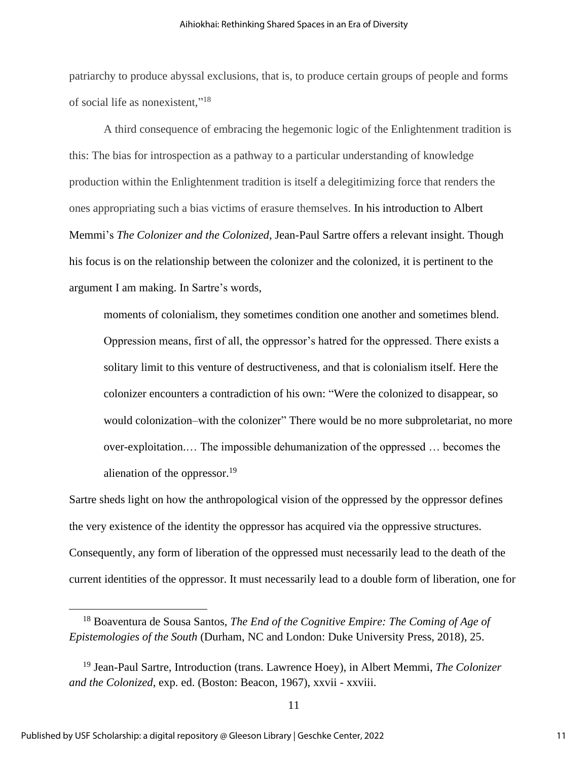patriarchy to produce abyssal exclusions, that is, to produce certain groups of people and forms of social life as nonexistent,"<sup>18</sup>

A third consequence of embracing the hegemonic logic of the Enlightenment tradition is this: The bias for introspection as a pathway to a particular understanding of knowledge production within the Enlightenment tradition is itself a delegitimizing force that renders the ones appropriating such a bias victims of erasure themselves. In his introduction to Albert Memmi's *The Colonizer and the Colonized*, Jean-Paul Sartre offers a relevant insight. Though his focus is on the relationship between the colonizer and the colonized, it is pertinent to the argument I am making. In Sartre's words,

moments of colonialism, they sometimes condition one another and sometimes blend. Oppression means, first of all, the oppressor's hatred for the oppressed. There exists a solitary limit to this venture of destructiveness, and that is colonialism itself. Here the colonizer encounters a contradiction of his own: "Were the colonized to disappear, so would colonization–with the colonizer" There would be no more subproletariat, no more over-exploitation.… The impossible dehumanization of the oppressed … becomes the alienation of the oppressor.<sup>19</sup>

Sartre sheds light on how the anthropological vision of the oppressed by the oppressor defines the very existence of the identity the oppressor has acquired via the oppressive structures. Consequently, any form of liberation of the oppressed must necessarily lead to the death of the current identities of the oppressor. It must necessarily lead to a double form of liberation, one for

<sup>18</sup> Boaventura de Sousa Santos, *The End of the Cognitive Empire: The Coming of Age of Epistemologies of the South* (Durham, NC and London: Duke University Press, 2018), 25.

<sup>19</sup> Jean-Paul Sartre, Introduction (trans. Lawrence Hoey), in Albert Memmi, *The Colonizer and the Colonized*, exp. ed. (Boston: Beacon, 1967), xxvii - xxviii.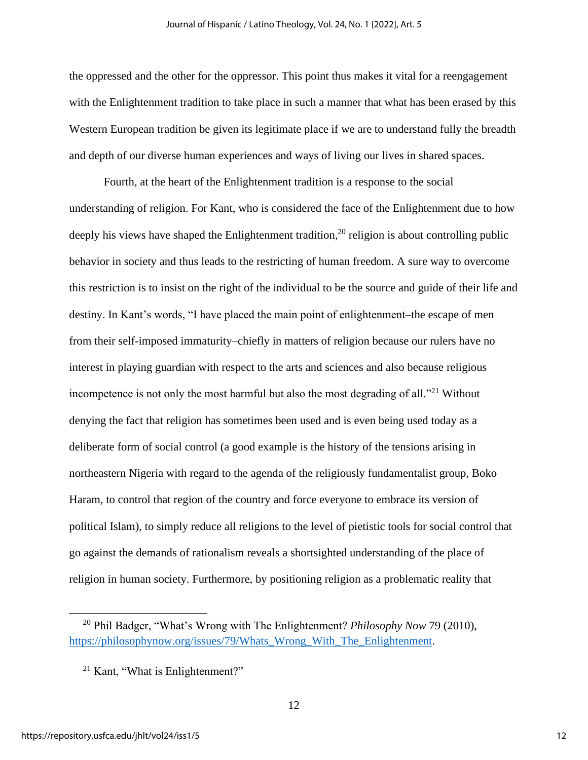the oppressed and the other for the oppressor. This point thus makes it vital for a reengagement with the Enlightenment tradition to take place in such a manner that what has been erased by this Western European tradition be given its legitimate place if we are to understand fully the breadth and depth of our diverse human experiences and ways of living our lives in shared spaces.

Fourth, at the heart of the Enlightenment tradition is a response to the social understanding of religion. For Kant, who is considered the face of the Enlightenment due to how deeply his views have shaped the Enlightenment tradition,<sup>20</sup> religion is about controlling public behavior in society and thus leads to the restricting of human freedom. A sure way to overcome this restriction is to insist on the right of the individual to be the source and guide of their life and destiny. In Kant's words, "I have placed the main point of enlightenment–the escape of men from their self-imposed immaturity–chiefly in matters of religion because our rulers have no interest in playing guardian with respect to the arts and sciences and also because religious incompetence is not only the most harmful but also the most degrading of all."<sup>21</sup> Without denying the fact that religion has sometimes been used and is even being used today as a deliberate form of social control (a good example is the history of the tensions arising in northeastern Nigeria with regard to the agenda of the religiously fundamentalist group, Boko Haram, to control that region of the country and force everyone to embrace its version of political Islam), to simply reduce all religions to the level of pietistic tools for social control that go against the demands of rationalism reveals a shortsighted understanding of the place of religion in human society. Furthermore, by positioning religion as a problematic reality that

<sup>20</sup> Phil Badger, "What's Wrong with The Enlightenment? *Philosophy Now* 79 (2010), [https://philosophynow.org/issues/79/Whats\\_Wrong\\_With\\_The\\_Enlightenment.](https://philosophynow.org/issues/79/Whats_Wrong_With_The_Enlightenment)

<sup>&</sup>lt;sup>21</sup> Kant, "What is Enlightenment?"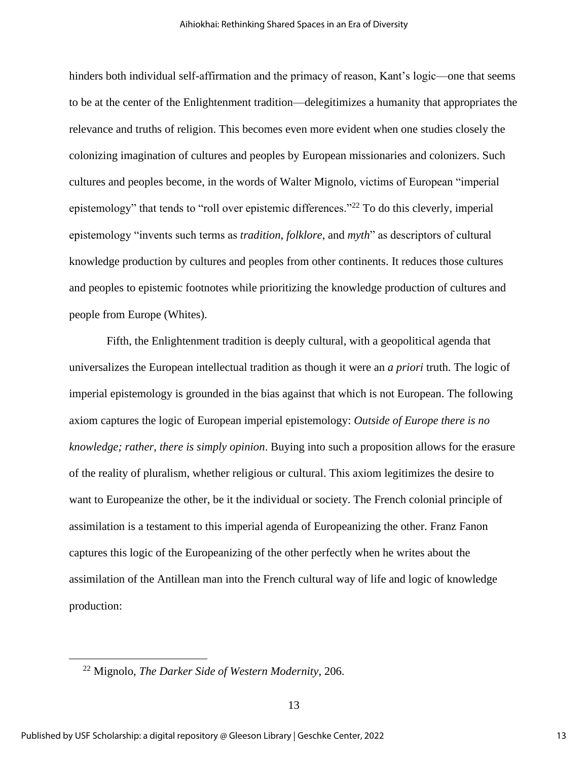hinders both individual self-affirmation and the primacy of reason, Kant's logic—one that seems to be at the center of the Enlightenment tradition—delegitimizes a humanity that appropriates the relevance and truths of religion. This becomes even more evident when one studies closely the colonizing imagination of cultures and peoples by European missionaries and colonizers. Such cultures and peoples become, in the words of Walter Mignolo, victims of European "imperial epistemology" that tends to "roll over epistemic differences."<sup>22</sup> To do this cleverly, imperial epistemology "invents such terms as *tradition*, *folklore*, and *myth*" as descriptors of cultural knowledge production by cultures and peoples from other continents. It reduces those cultures and peoples to epistemic footnotes while prioritizing the knowledge production of cultures and people from Europe (Whites).

Fifth, the Enlightenment tradition is deeply cultural, with a geopolitical agenda that universalizes the European intellectual tradition as though it were an *a priori* truth. The logic of imperial epistemology is grounded in the bias against that which is not European. The following axiom captures the logic of European imperial epistemology: *Outside of Europe there is no knowledge; rather, there is simply opinion*. Buying into such a proposition allows for the erasure of the reality of pluralism, whether religious or cultural. This axiom legitimizes the desire to want to Europeanize the other, be it the individual or society. The French colonial principle of assimilation is a testament to this imperial agenda of Europeanizing the other. Franz Fanon captures this logic of the Europeanizing of the other perfectly when he writes about the assimilation of the Antillean man into the French cultural way of life and logic of knowledge production:

<sup>22</sup> Mignolo, *The Darker Side of Western Modernity*, 206.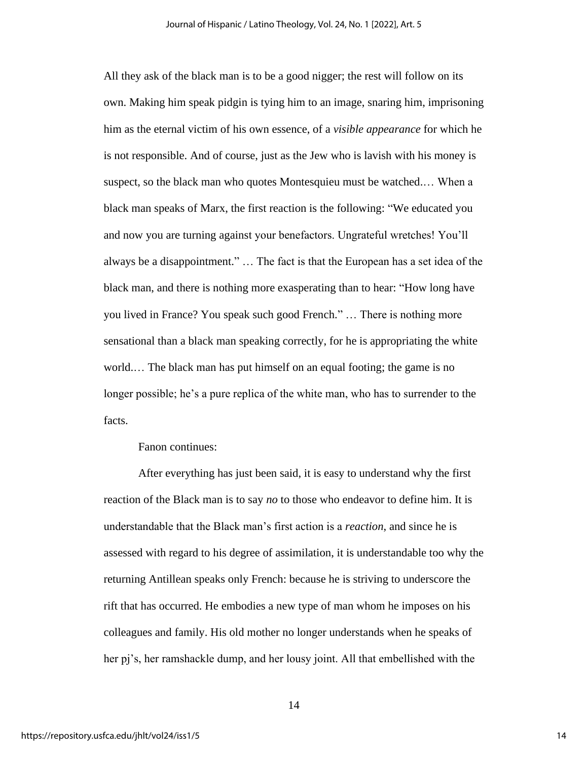All they ask of the black man is to be a good nigger; the rest will follow on its own. Making him speak pidgin is tying him to an image, snaring him, imprisoning him as the eternal victim of his own essence, of a *visible appearance* for which he is not responsible. And of course, just as the Jew who is lavish with his money is suspect, so the black man who quotes Montesquieu must be watched.… When a black man speaks of Marx, the first reaction is the following: "We educated you and now you are turning against your benefactors. Ungrateful wretches! You'll always be a disappointment." … The fact is that the European has a set idea of the black man, and there is nothing more exasperating than to hear: "How long have you lived in France? You speak such good French." … There is nothing more sensational than a black man speaking correctly, for he is appropriating the white world.… The black man has put himself on an equal footing; the game is no longer possible; he's a pure replica of the white man, who has to surrender to the facts.

Fanon continues:

After everything has just been said, it is easy to understand why the first reaction of the Black man is to say *no* to those who endeavor to define him. It is understandable that the Black man's first action is a *reaction*, and since he is assessed with regard to his degree of assimilation, it is understandable too why the returning Antillean speaks only French: because he is striving to underscore the rift that has occurred. He embodies a new type of man whom he imposes on his colleagues and family. His old mother no longer understands when he speaks of her pj's, her ramshackle dump, and her lousy joint. All that embellished with the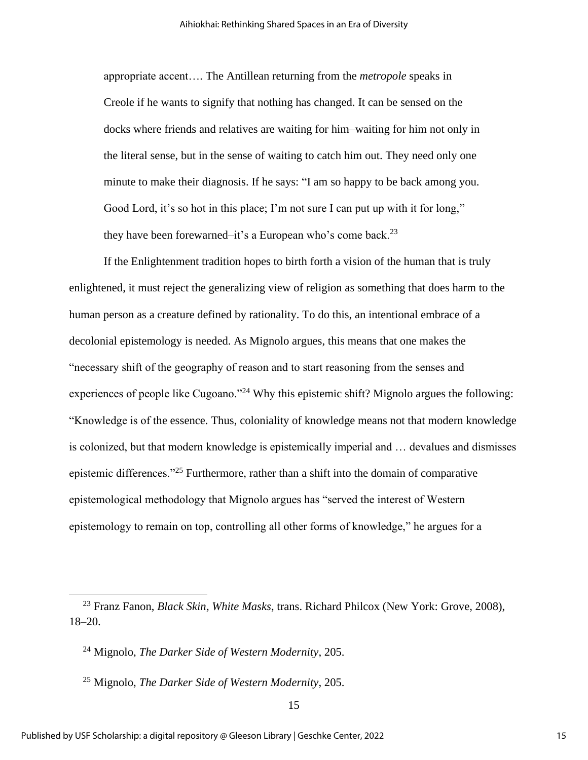appropriate accent…. The Antillean returning from the *metropole* speaks in Creole if he wants to signify that nothing has changed. It can be sensed on the docks where friends and relatives are waiting for him–waiting for him not only in the literal sense, but in the sense of waiting to catch him out. They need only one minute to make their diagnosis. If he says: "I am so happy to be back among you. Good Lord, it's so hot in this place; I'm not sure I can put up with it for long," they have been forewarned–it's a European who's come back.<sup>23</sup>

If the Enlightenment tradition hopes to birth forth a vision of the human that is truly enlightened, it must reject the generalizing view of religion as something that does harm to the human person as a creature defined by rationality. To do this, an intentional embrace of a decolonial epistemology is needed. As Mignolo argues, this means that one makes the "necessary shift of the geography of reason and to start reasoning from the senses and experiences of people like Cugoano."<sup>24</sup> Why this epistemic shift? Mignolo argues the following: "Knowledge is of the essence. Thus, coloniality of knowledge means not that modern knowledge is colonized, but that modern knowledge is epistemically imperial and … devalues and dismisses epistemic differences."<sup>25</sup> Furthermore, rather than a shift into the domain of comparative epistemological methodology that Mignolo argues has "served the interest of Western epistemology to remain on top, controlling all other forms of knowledge," he argues for a

<sup>23</sup> Franz Fanon, *Black Skin, White Masks*, trans. Richard Philcox (New York: Grove, 2008), 18–20.

<sup>24</sup> Mignolo, *The Darker Side of Western Modernity*, 205.

<sup>25</sup> Mignolo, *The Darker Side of Western Modernity*, 205.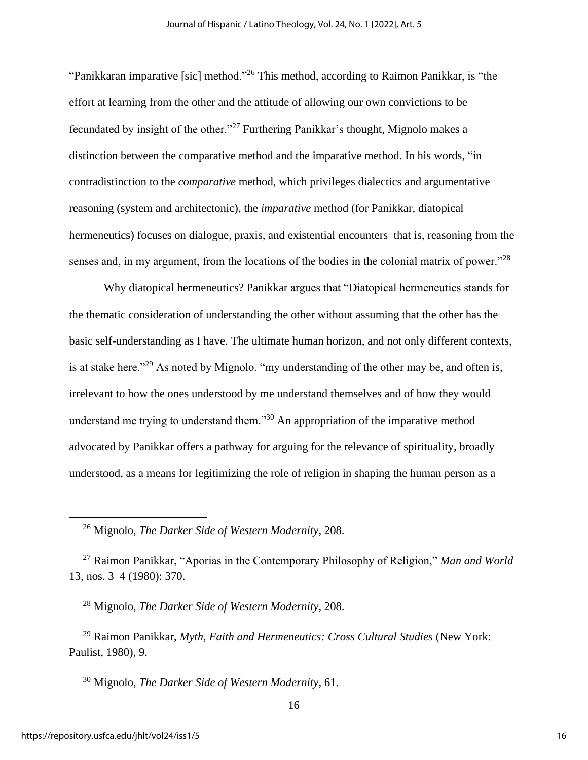"Panikkaran imparative [sic] method."<sup>26</sup> This method, according to Raimon Panikkar, is "the effort at learning from the other and the attitude of allowing our own convictions to be fecundated by insight of the other."<sup>27</sup> Furthering Panikkar's thought, Mignolo makes a distinction between the comparative method and the imparative method. In his words, "in contradistinction to the *comparative* method, which privileges dialectics and argumentative reasoning (system and architectonic), the *imparative* method (for Panikkar, diatopical hermeneutics) focuses on dialogue, praxis, and existential encounters–that is, reasoning from the senses and, in my argument, from the locations of the bodies in the colonial matrix of power."<sup>28</sup>

Why diatopical hermeneutics? Panikkar argues that "Diatopical hermeneutics stands for the thematic consideration of understanding the other without assuming that the other has the basic self-understanding as I have. The ultimate human horizon, and not only different contexts, is at stake here."<sup>29</sup> As noted by Mignolo. "my understanding of the other may be, and often is, irrelevant to how the ones understood by me understand themselves and of how they would understand me trying to understand them."<sup>30</sup> An appropriation of the imparative method advocated by Panikkar offers a pathway for arguing for the relevance of spirituality, broadly understood, as a means for legitimizing the role of religion in shaping the human person as a

<sup>30</sup> Mignolo, *The Darker Side of Western Modernity*, 61.

<sup>26</sup> Mignolo, *The Darker Side of Western Modernity*, 208.

<sup>27</sup> Raimon Panikkar, "Aporias in the Contemporary Philosophy of Religion," *Man and World* 13, nos. 3–4 (1980): 370.

<sup>28</sup> Mignolo, *The Darker Side of Western Modernity*, 208.

<sup>29</sup> Raimon Panikkar, *Myth, Faith and Hermeneutics: Cross Cultural Studies* (New York: Paulist, 1980), 9.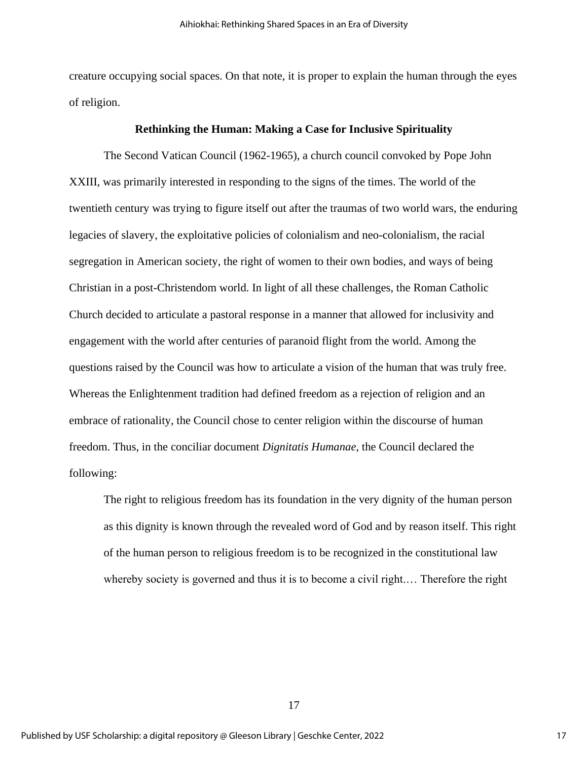creature occupying social spaces. On that note, it is proper to explain the human through the eyes of religion.

#### **Rethinking the Human: Making a Case for Inclusive Spirituality**

The Second Vatican Council (1962-1965), a church council convoked by Pope John XXIII, was primarily interested in responding to the signs of the times. The world of the twentieth century was trying to figure itself out after the traumas of two world wars, the enduring legacies of slavery, the exploitative policies of colonialism and neo-colonialism, the racial segregation in American society, the right of women to their own bodies, and ways of being Christian in a post-Christendom world. In light of all these challenges, the Roman Catholic Church decided to articulate a pastoral response in a manner that allowed for inclusivity and engagement with the world after centuries of paranoid flight from the world. Among the questions raised by the Council was how to articulate a vision of the human that was truly free. Whereas the Enlightenment tradition had defined freedom as a rejection of religion and an embrace of rationality, the Council chose to center religion within the discourse of human freedom. Thus, in the conciliar document *Dignitatis Humanae*, the Council declared the following:

The right to religious freedom has its foundation in the very dignity of the human person as this dignity is known through the revealed word of God and by reason itself. This right of the human person to religious freedom is to be recognized in the constitutional law whereby society is governed and thus it is to become a civil right.… Therefore the right

17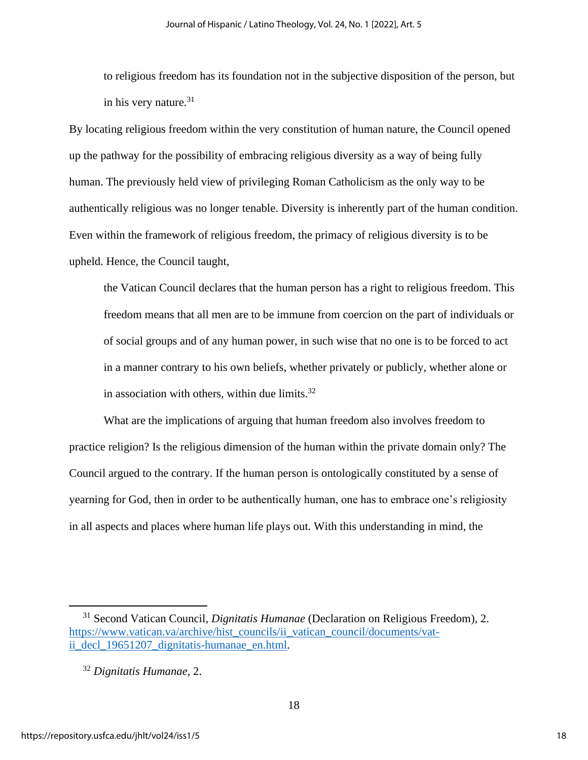to religious freedom has its foundation not in the subjective disposition of the person, but in his very nature. $31$ 

By locating religious freedom within the very constitution of human nature, the Council opened up the pathway for the possibility of embracing religious diversity as a way of being fully human. The previously held view of privileging Roman Catholicism as the only way to be authentically religious was no longer tenable. Diversity is inherently part of the human condition. Even within the framework of religious freedom, the primacy of religious diversity is to be upheld. Hence, the Council taught,

the Vatican Council declares that the human person has a right to religious freedom. This freedom means that all men are to be immune from coercion on the part of individuals or of social groups and of any human power, in such wise that no one is to be forced to act in a manner contrary to his own beliefs, whether privately or publicly, whether alone or in association with others, within due limits. $32$ 

What are the implications of arguing that human freedom also involves freedom to practice religion? Is the religious dimension of the human within the private domain only? The Council argued to the contrary. If the human person is ontologically constituted by a sense of yearning for God, then in order to be authentically human, one has to embrace one's religiosity in all aspects and places where human life plays out. With this understanding in mind, the

<sup>31</sup> Second Vatican Council, *Dignitatis Humanae* (Declaration on Religious Freedom), 2. [https://www.vatican.va/archive/hist\\_councils/ii\\_vatican\\_council/documents/vat](https://www.vatican.va/archive/hist_councils/ii_vatican_council/documents/vat-ii_decl_19651207_dignitatis-humanae_en.html)ii decl 19651207 dignitatis-humanae en.html.

<sup>32</sup> *Dignitatis Humanae*, 2.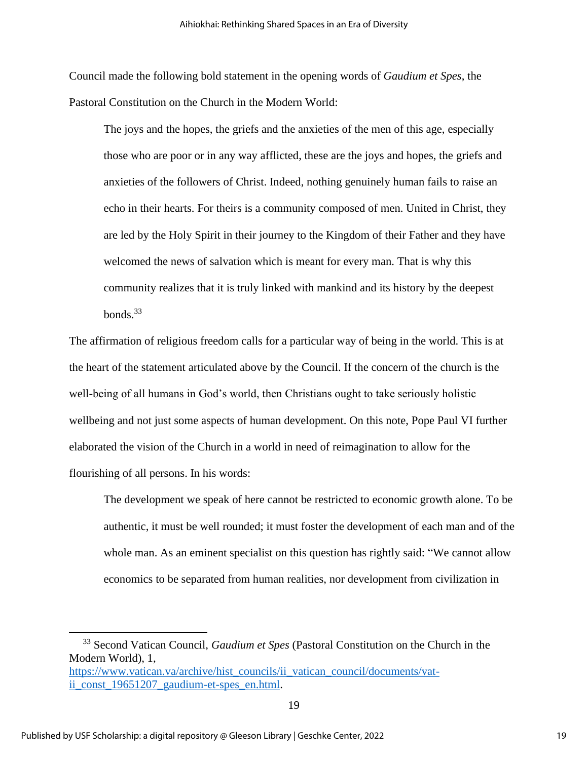Council made the following bold statement in the opening words of *Gaudium et Spes*, the Pastoral Constitution on the Church in the Modern World:

The joys and the hopes, the griefs and the anxieties of the men of this age, especially those who are poor or in any way afflicted, these are the joys and hopes, the griefs and anxieties of the followers of Christ. Indeed, nothing genuinely human fails to raise an echo in their hearts. For theirs is a community composed of men. United in Christ, they are led by the Holy Spirit in their journey to the Kingdom of their Father and they have welcomed the news of salvation which is meant for every man. That is why this community realizes that it is truly linked with mankind and its history by the deepest bonds. $33$ 

The affirmation of religious freedom calls for a particular way of being in the world. This is at the heart of the statement articulated above by the Council. If the concern of the church is the well-being of all humans in God's world, then Christians ought to take seriously holistic wellbeing and not just some aspects of human development. On this note, Pope Paul VI further elaborated the vision of the Church in a world in need of reimagination to allow for the flourishing of all persons. In his words:

The development we speak of here cannot be restricted to economic growth alone. To be authentic, it must be well rounded; it must foster the development of each man and of the whole man. As an eminent specialist on this question has rightly said: "We cannot allow economics to be separated from human realities, nor development from civilization in

<sup>33</sup> Second Vatican Council, *Gaudium et Spes* (Pastoral Constitution on the Church in the Modern World), 1, [https://www.vatican.va/archive/hist\\_councils/ii\\_vatican\\_council/documents/vat-](https://www.vatican.va/archive/hist_councils/ii_vatican_council/documents/vat-ii_const_19651207_gaudium-et-spes_en.html)

[ii\\_const\\_19651207\\_gaudium-et-spes\\_en.html.](https://www.vatican.va/archive/hist_councils/ii_vatican_council/documents/vat-ii_const_19651207_gaudium-et-spes_en.html)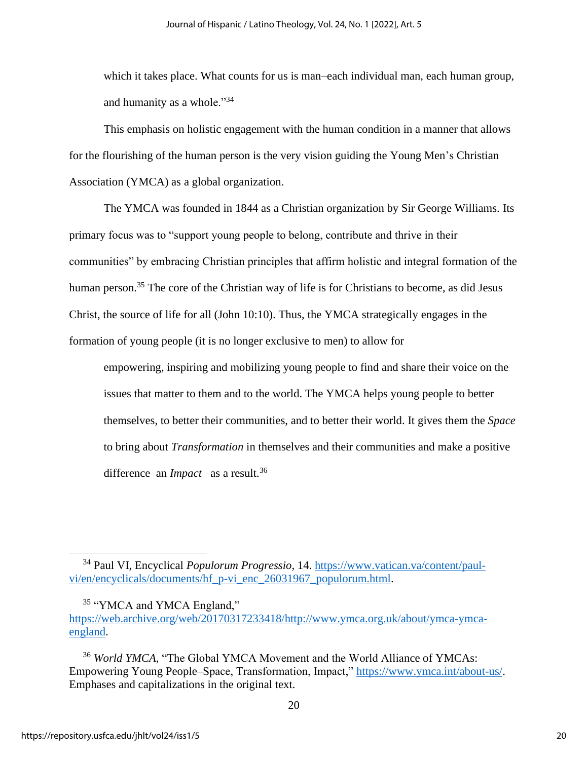which it takes place. What counts for us is man–each individual man, each human group, and humanity as a whole."<sup>34</sup>

This emphasis on holistic engagement with the human condition in a manner that allows for the flourishing of the human person is the very vision guiding the Young Men's Christian Association (YMCA) as a global organization.

The YMCA was founded in 1844 as a Christian organization by Sir George Williams. Its primary focus was to "support young people to belong, contribute and thrive in their communities" by embracing Christian principles that affirm holistic and integral formation of the human person.<sup>35</sup> The core of the Christian way of life is for Christians to become, as did Jesus Christ, the source of life for all (John 10:10). Thus, the YMCA strategically engages in the formation of young people (it is no longer exclusive to men) to allow for

empowering, inspiring and mobilizing young people to find and share their voice on the issues that matter to them and to the world. The YMCA helps young people to better themselves, to better their communities, and to better their world. It gives them the *Space* to bring about *Transformation* in themselves and their communities and make a positive difference–an *Impact* –as a result.<sup>36</sup>

<sup>35</sup> "YMCA and YMCA England,"

[https://web.archive.org/web/20170317233418/http://www.ymca.org.uk/about/ymca-ymca](https://web.archive.org/web/20170317233418/http:/www.ymca.org.uk/about/ymca-ymca-england)[england.](https://web.archive.org/web/20170317233418/http:/www.ymca.org.uk/about/ymca-ymca-england)

<sup>34</sup> Paul VI, Encyclical *Populorum Progressio*, 14. [https://www.vatican.va/content/paul](https://www.vatican.va/content/paul-vi/en/encyclicals/documents/hf_p-vi_enc_26031967_populorum.html)[vi/en/encyclicals/documents/hf\\_p-vi\\_enc\\_26031967\\_populorum.html.](https://www.vatican.va/content/paul-vi/en/encyclicals/documents/hf_p-vi_enc_26031967_populorum.html)

<sup>36</sup> *World YMCA*, "The Global YMCA Movement and the World Alliance of YMCAs: Empowering Young People–Space, Transformation, Impact," [https://www.ymca.int/about-us/.](https://www.ymca.int/about-us/) Emphases and capitalizations in the original text.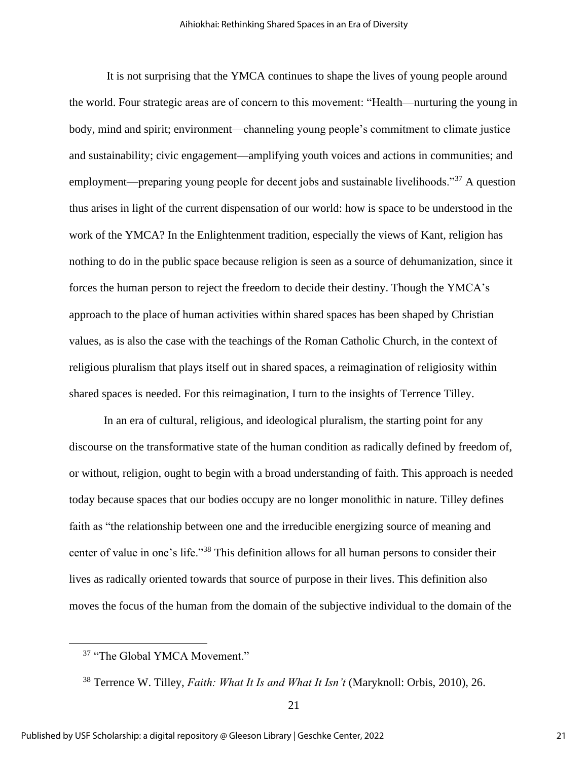It is not surprising that the YMCA continues to shape the lives of young people around the world. Four strategic areas are of concern to this movement: "Health—nurturing the young in body, mind and spirit; environment—channeling young people's commitment to climate justice and sustainability; civic engagement—amplifying youth voices and actions in communities; and employment—preparing young people for decent jobs and sustainable livelihoods."<sup>37</sup> A question thus arises in light of the current dispensation of our world: how is space to be understood in the work of the YMCA? In the Enlightenment tradition, especially the views of Kant, religion has nothing to do in the public space because religion is seen as a source of dehumanization, since it forces the human person to reject the freedom to decide their destiny. Though the YMCA's approach to the place of human activities within shared spaces has been shaped by Christian values, as is also the case with the teachings of the Roman Catholic Church, in the context of religious pluralism that plays itself out in shared spaces, a reimagination of religiosity within shared spaces is needed. For this reimagination, I turn to the insights of Terrence Tilley.

In an era of cultural, religious, and ideological pluralism, the starting point for any discourse on the transformative state of the human condition as radically defined by freedom of, or without, religion, ought to begin with a broad understanding of faith. This approach is needed today because spaces that our bodies occupy are no longer monolithic in nature. Tilley defines faith as "the relationship between one and the irreducible energizing source of meaning and center of value in one's life."<sup>38</sup> This definition allows for all human persons to consider their lives as radically oriented towards that source of purpose in their lives. This definition also moves the focus of the human from the domain of the subjective individual to the domain of the

<sup>&</sup>lt;sup>37</sup> "The Global YMCA Movement."

<sup>38</sup> Terrence W. Tilley, *Faith: What It Is and What It Isn't* (Maryknoll: Orbis, 2010), 26.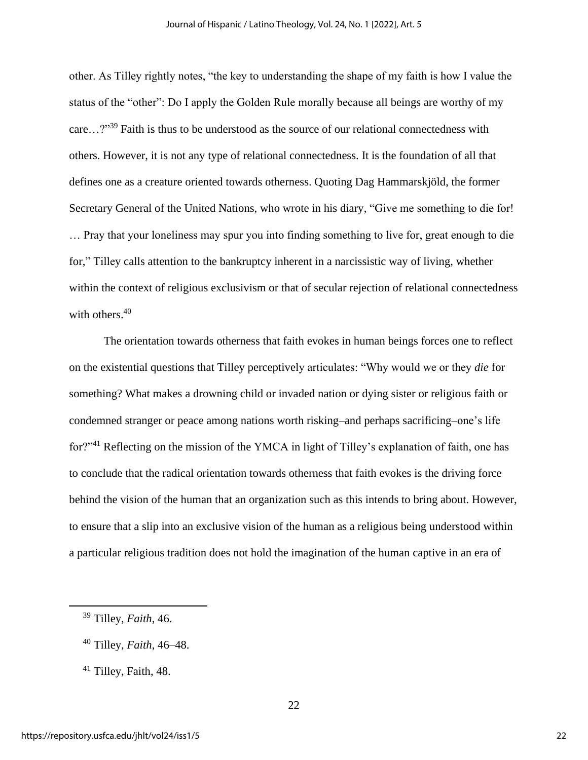other. As Tilley rightly notes, "the key to understanding the shape of my faith is how I value the status of the "other": Do I apply the Golden Rule morally because all beings are worthy of my care...?"<sup>39</sup> Faith is thus to be understood as the source of our relational connectedness with others. However, it is not any type of relational connectedness. It is the foundation of all that defines one as a creature oriented towards otherness. Quoting Dag Hammarskjöld, the former Secretary General of the United Nations, who wrote in his diary, "Give me something to die for! … Pray that your loneliness may spur you into finding something to live for, great enough to die for," Tilley calls attention to the bankruptcy inherent in a narcissistic way of living, whether within the context of religious exclusivism or that of secular rejection of relational connectedness with others.<sup>40</sup>

The orientation towards otherness that faith evokes in human beings forces one to reflect on the existential questions that Tilley perceptively articulates: "Why would we or they *die* for something? What makes a drowning child or invaded nation or dying sister or religious faith or condemned stranger or peace among nations worth risking–and perhaps sacrificing–one's life for?"<sup>41</sup> Reflecting on the mission of the YMCA in light of Tilley's explanation of faith, one has to conclude that the radical orientation towards otherness that faith evokes is the driving force behind the vision of the human that an organization such as this intends to bring about. However, to ensure that a slip into an exclusive vision of the human as a religious being understood within a particular religious tradition does not hold the imagination of the human captive in an era of

<sup>39</sup> Tilley, *Faith*, 46.

<sup>40</sup> Tilley, *Faith*, 46–48.

<sup>&</sup>lt;sup>41</sup> Tilley, Faith, 48.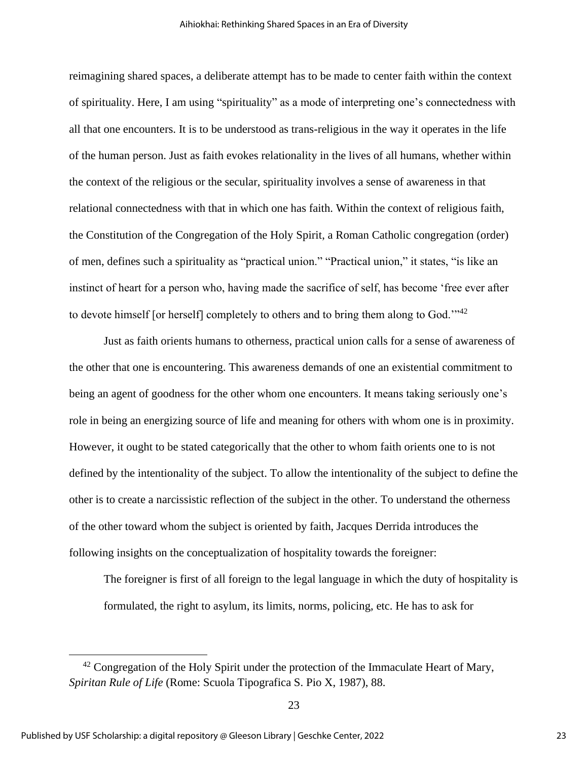reimagining shared spaces, a deliberate attempt has to be made to center faith within the context of spirituality. Here, I am using "spirituality" as a mode of interpreting one's connectedness with all that one encounters. It is to be understood as trans-religious in the way it operates in the life of the human person. Just as faith evokes relationality in the lives of all humans, whether within the context of the religious or the secular, spirituality involves a sense of awareness in that relational connectedness with that in which one has faith. Within the context of religious faith, the Constitution of the Congregation of the Holy Spirit, a Roman Catholic congregation (order) of men, defines such a spirituality as "practical union." "Practical union," it states, "is like an instinct of heart for a person who, having made the sacrifice of self, has become 'free ever after to devote himself [or herself] completely to others and to bring them along to God."<sup>42</sup>

Just as faith orients humans to otherness, practical union calls for a sense of awareness of the other that one is encountering. This awareness demands of one an existential commitment to being an agent of goodness for the other whom one encounters. It means taking seriously one's role in being an energizing source of life and meaning for others with whom one is in proximity. However, it ought to be stated categorically that the other to whom faith orients one to is not defined by the intentionality of the subject. To allow the intentionality of the subject to define the other is to create a narcissistic reflection of the subject in the other. To understand the otherness of the other toward whom the subject is oriented by faith, Jacques Derrida introduces the following insights on the conceptualization of hospitality towards the foreigner:

The foreigner is first of all foreign to the legal language in which the duty of hospitality is formulated, the right to asylum, its limits, norms, policing, etc. He has to ask for

 $42$  Congregation of the Holy Spirit under the protection of the Immaculate Heart of Mary, *Spiritan Rule of Life* (Rome: Scuola Tipografica S. Pio X, 1987), 88.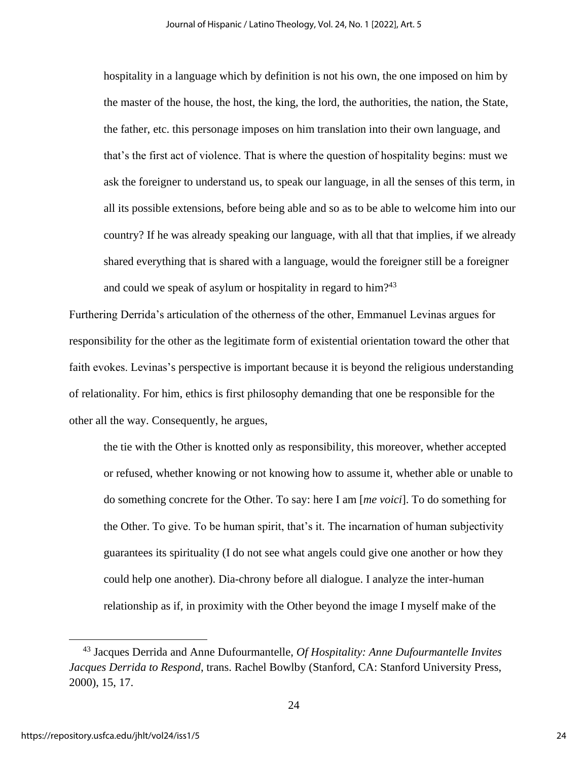hospitality in a language which by definition is not his own, the one imposed on him by the master of the house, the host, the king, the lord, the authorities, the nation, the State, the father, etc. this personage imposes on him translation into their own language, and that's the first act of violence. That is where the question of hospitality begins: must we ask the foreigner to understand us, to speak our language, in all the senses of this term, in all its possible extensions, before being able and so as to be able to welcome him into our country? If he was already speaking our language, with all that that implies, if we already shared everything that is shared with a language, would the foreigner still be a foreigner and could we speak of asylum or hospitality in regard to  $\text{him}$ <sup> $2^{43}$ </sup>

Furthering Derrida's articulation of the otherness of the other, Emmanuel Levinas argues for responsibility for the other as the legitimate form of existential orientation toward the other that faith evokes. Levinas's perspective is important because it is beyond the religious understanding of relationality. For him, ethics is first philosophy demanding that one be responsible for the other all the way. Consequently, he argues,

the tie with the Other is knotted only as responsibility, this moreover, whether accepted or refused, whether knowing or not knowing how to assume it, whether able or unable to do something concrete for the Other. To say: here I am [*me voici*]. To do something for the Other. To give. To be human spirit, that's it. The incarnation of human subjectivity guarantees its spirituality (I do not see what angels could give one another or how they could help one another). Dia-chrony before all dialogue. I analyze the inter-human relationship as if, in proximity with the Other beyond the image I myself make of the

<sup>43</sup> Jacques Derrida and Anne Dufourmantelle, *Of Hospitality: Anne Dufourmantelle Invites Jacques Derrida to Respond*, trans. Rachel Bowlby (Stanford, CA: Stanford University Press, 2000), 15, 17.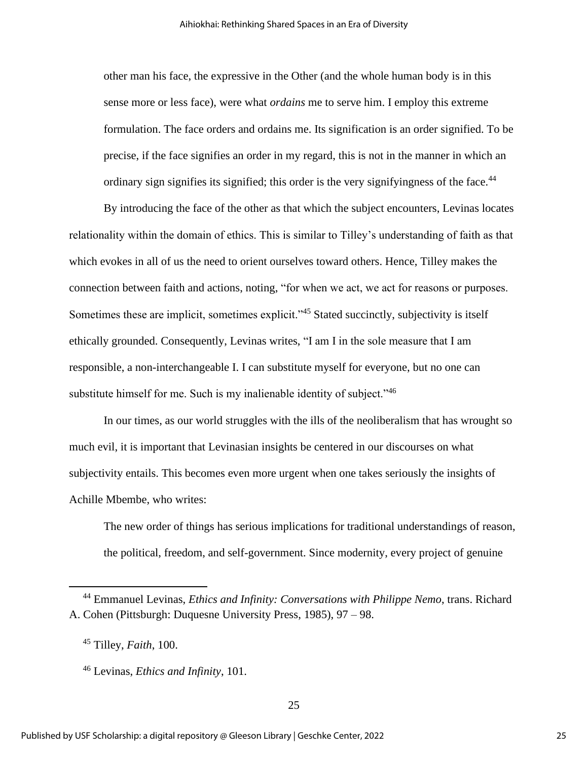other man his face, the expressive in the Other (and the whole human body is in this sense more or less face), were what *ordains* me to serve him. I employ this extreme formulation. The face orders and ordains me. Its signification is an order signified. To be precise, if the face signifies an order in my regard, this is not in the manner in which an ordinary sign signifies its signified; this order is the very signifyingness of the face.<sup>44</sup>

By introducing the face of the other as that which the subject encounters, Levinas locates relationality within the domain of ethics. This is similar to Tilley's understanding of faith as that which evokes in all of us the need to orient ourselves toward others. Hence, Tilley makes the connection between faith and actions, noting, "for when we act, we act for reasons or purposes. Sometimes these are implicit, sometimes explicit."<sup>45</sup> Stated succinctly, subjectivity is itself ethically grounded. Consequently, Levinas writes, "I am I in the sole measure that I am responsible, a non-interchangeable I. I can substitute myself for everyone, but no one can substitute himself for me. Such is my inalienable identity of subject."<sup>46</sup>

In our times, as our world struggles with the ills of the neoliberalism that has wrought so much evil, it is important that Levinasian insights be centered in our discourses on what subjectivity entails. This becomes even more urgent when one takes seriously the insights of Achille Mbembe, who writes:

The new order of things has serious implications for traditional understandings of reason, the political, freedom, and self-government. Since modernity, every project of genuine

<sup>44</sup> Emmanuel Levinas, *Ethics and Infinity: Conversations with Philippe Nemo*, trans. Richard A. Cohen (Pittsburgh: Duquesne University Press, 1985), 97 – 98.

<sup>45</sup> Tilley, *Faith*, 100.

<sup>46</sup> Levinas, *Ethics and Infinity*, 101.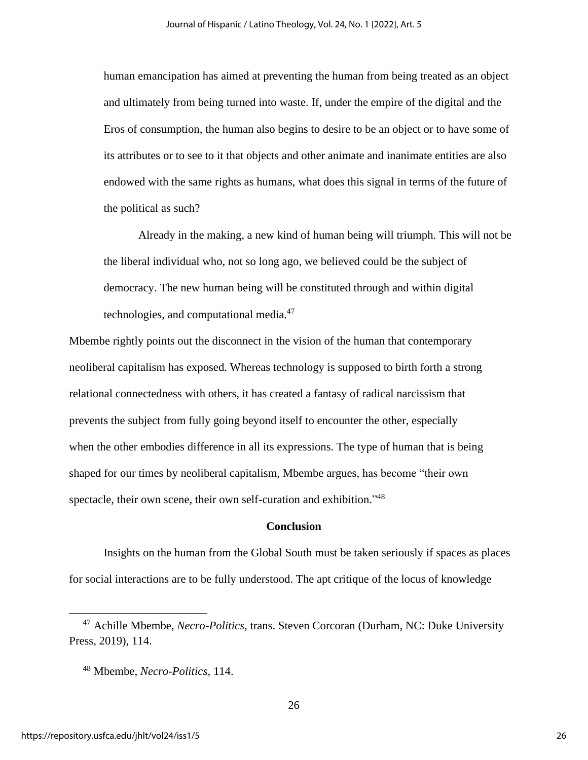human emancipation has aimed at preventing the human from being treated as an object and ultimately from being turned into waste. If, under the empire of the digital and the Eros of consumption, the human also begins to desire to be an object or to have some of its attributes or to see to it that objects and other animate and inanimate entities are also endowed with the same rights as humans, what does this signal in terms of the future of the political as such?

Already in the making, a new kind of human being will triumph. This will not be the liberal individual who, not so long ago, we believed could be the subject of democracy. The new human being will be constituted through and within digital technologies, and computational media. $47$ 

Mbembe rightly points out the disconnect in the vision of the human that contemporary neoliberal capitalism has exposed. Whereas technology is supposed to birth forth a strong relational connectedness with others, it has created a fantasy of radical narcissism that prevents the subject from fully going beyond itself to encounter the other, especially when the other embodies difference in all its expressions. The type of human that is being shaped for our times by neoliberal capitalism, Mbembe argues, has become "their own spectacle, their own scene, their own self-curation and exhibition."<sup>48</sup>

### **Conclusion**

Insights on the human from the Global South must be taken seriously if spaces as places for social interactions are to be fully understood. The apt critique of the locus of knowledge

<sup>47</sup> Achille Mbembe, *Necro-Politics*, trans. Steven Corcoran (Durham, NC: Duke University Press, 2019), 114.

<sup>48</sup> Mbembe, *Necro-Politics*, 114.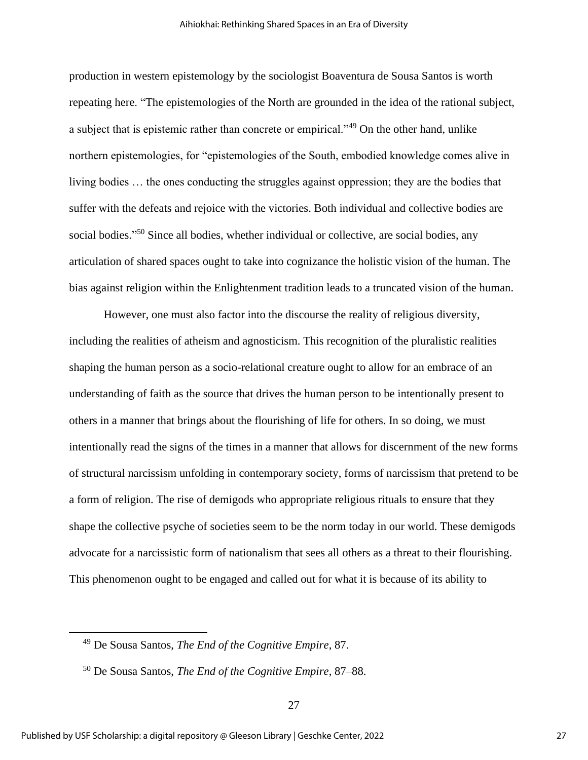production in western epistemology by the sociologist Boaventura de Sousa Santos is worth repeating here. "The epistemologies of the North are grounded in the idea of the rational subject, a subject that is epistemic rather than concrete or empirical."<sup>49</sup> On the other hand, unlike northern epistemologies, for "epistemologies of the South, embodied knowledge comes alive in living bodies … the ones conducting the struggles against oppression; they are the bodies that suffer with the defeats and rejoice with the victories. Both individual and collective bodies are social bodies."<sup>50</sup> Since all bodies, whether individual or collective, are social bodies, any articulation of shared spaces ought to take into cognizance the holistic vision of the human. The bias against religion within the Enlightenment tradition leads to a truncated vision of the human.

However, one must also factor into the discourse the reality of religious diversity, including the realities of atheism and agnosticism. This recognition of the pluralistic realities shaping the human person as a socio-relational creature ought to allow for an embrace of an understanding of faith as the source that drives the human person to be intentionally present to others in a manner that brings about the flourishing of life for others. In so doing, we must intentionally read the signs of the times in a manner that allows for discernment of the new forms of structural narcissism unfolding in contemporary society, forms of narcissism that pretend to be a form of religion. The rise of demigods who appropriate religious rituals to ensure that they shape the collective psyche of societies seem to be the norm today in our world. These demigods advocate for a narcissistic form of nationalism that sees all others as a threat to their flourishing. This phenomenon ought to be engaged and called out for what it is because of its ability to

<sup>49</sup> De Sousa Santos, *The End of the Cognitive Empire*, 87.

<sup>50</sup> De Sousa Santos, *The End of the Cognitive Empire*, 87–88.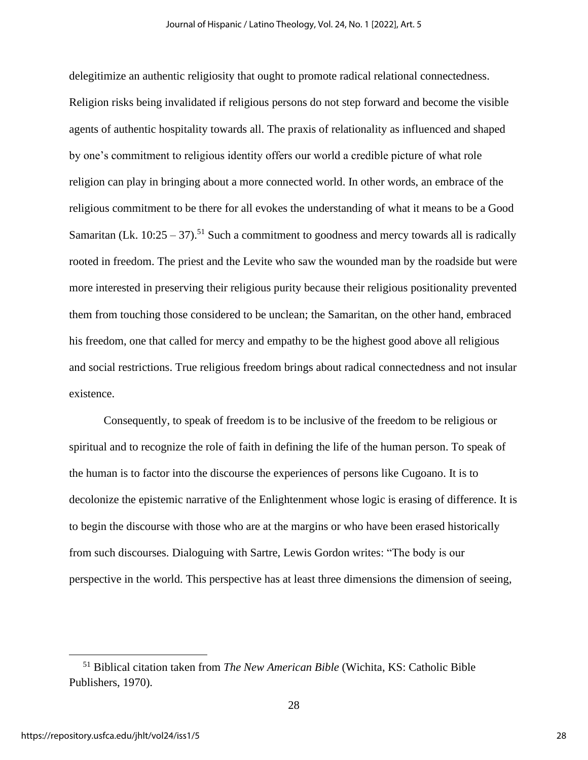delegitimize an authentic religiosity that ought to promote radical relational connectedness. Religion risks being invalidated if religious persons do not step forward and become the visible agents of authentic hospitality towards all. The praxis of relationality as influenced and shaped by one's commitment to religious identity offers our world a credible picture of what role religion can play in bringing about a more connected world. In other words, an embrace of the religious commitment to be there for all evokes the understanding of what it means to be a Good Samaritan (Lk.  $10:25 - 37$ ).<sup>51</sup> Such a commitment to goodness and mercy towards all is radically rooted in freedom. The priest and the Levite who saw the wounded man by the roadside but were more interested in preserving their religious purity because their religious positionality prevented them from touching those considered to be unclean; the Samaritan, on the other hand, embraced his freedom, one that called for mercy and empathy to be the highest good above all religious and social restrictions. True religious freedom brings about radical connectedness and not insular existence.

Consequently, to speak of freedom is to be inclusive of the freedom to be religious or spiritual and to recognize the role of faith in defining the life of the human person. To speak of the human is to factor into the discourse the experiences of persons like Cugoano. It is to decolonize the epistemic narrative of the Enlightenment whose logic is erasing of difference. It is to begin the discourse with those who are at the margins or who have been erased historically from such discourses. Dialoguing with Sartre, Lewis Gordon writes: "The body is our perspective in the world. This perspective has at least three dimensions the dimension of seeing,

<sup>51</sup> Biblical citation taken from *The New American Bible* (Wichita, KS: Catholic Bible Publishers, 1970).